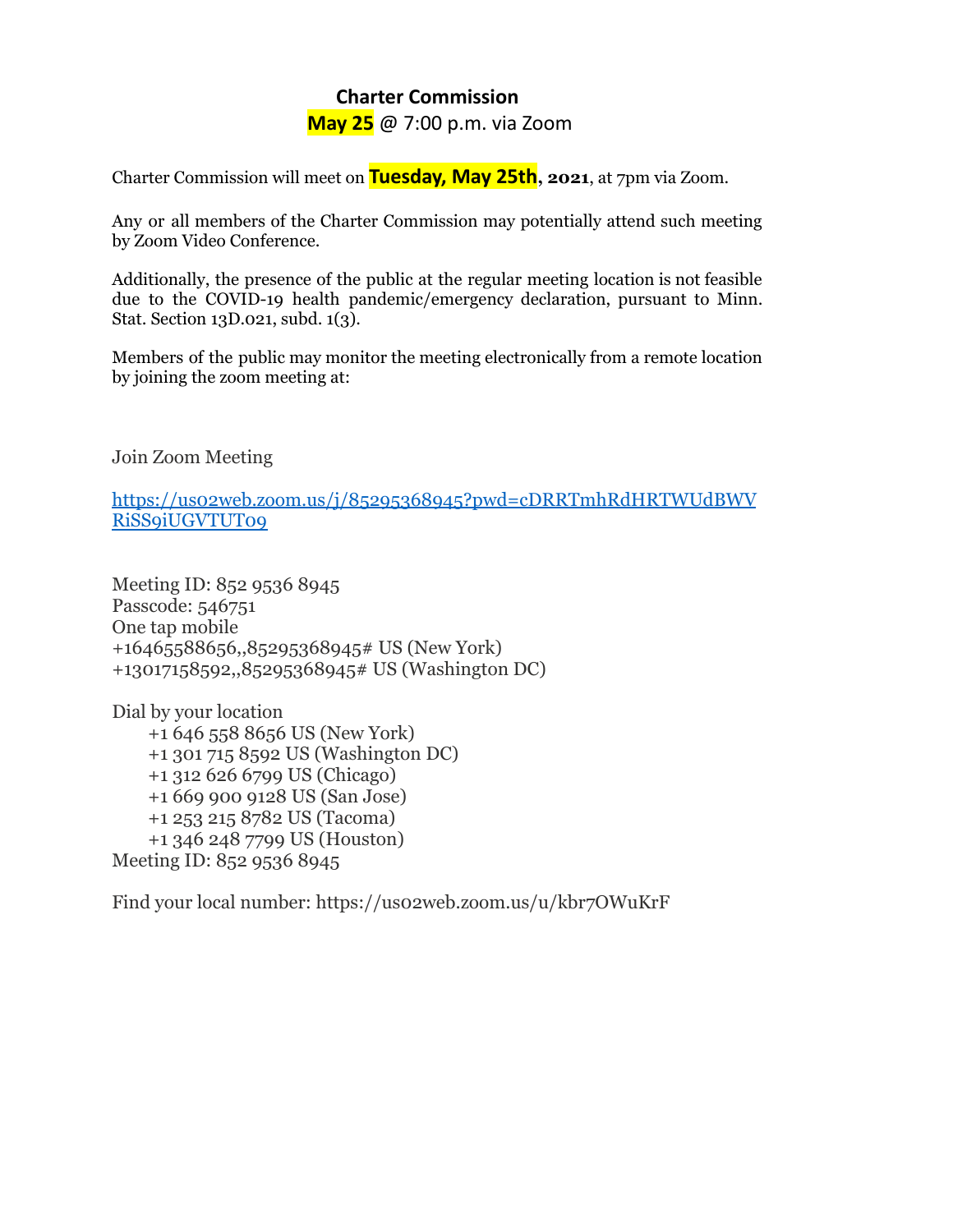## **Charter Commission**

**May 25** @ 7:00 p.m. via Zoom

Charter Commission will meet on **Tuesday, May 25th, 2021**, at 7pm via Zoom.

Any or all members of the Charter Commission may potentially attend such meeting by Zoom Video Conference.

Additionally, the presence of the public at the regular meeting location is not feasible due to the COVID-19 health pandemic/emergency declaration, pursuant to Minn. Stat. Section 13D.021, subd. 1(3).

Members of the public may monitor the meeting electronically from a remote location by joining the zoom meeting at:

Join Zoom Meeting

[https://us02web.zoom.us/j/85295368945?pwd=cDRRTmhRdHRTWUdBWV](https://us02web.zoom.us/j/85295368945?pwd=cDRRTmhRdHRTWUdBWVRiSS9iUGVTUT09) [RiSS9iUGVTUT09](https://us02web.zoom.us/j/85295368945?pwd=cDRRTmhRdHRTWUdBWVRiSS9iUGVTUT09)

Meeting ID: 852 9536 8945 Passcode: 546751 One tap mobile +16465588656,,85295368945# US (New York) +13017158592,,85295368945# US (Washington DC)

Dial by your location +1 646 558 8656 US (New York) +1 301 715 8592 US (Washington DC) +1 312 626 6799 US (Chicago) +1 669 900 9128 US (San Jose) +1 253 215 8782 US (Tacoma) +1 346 248 7799 US (Houston) Meeting ID: 852 9536 8945

Find your local number: https://us02web.zoom.us/u/kbr7OWuKrF